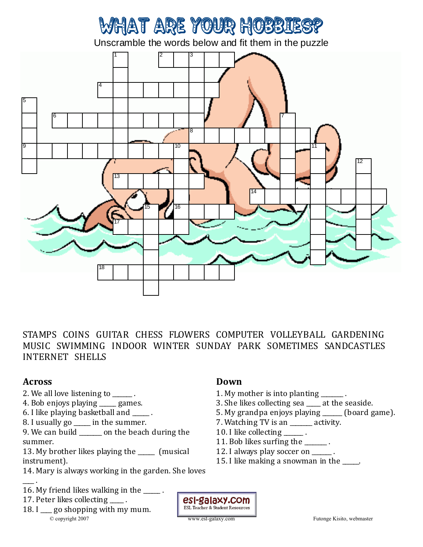# What are your hobbies?

Unscramble the words below and fit them in the puzzle



STAMPS COINS GUITAR CHESS FLOWERS COMPUTER VOLLEYBALL GARDENING MUSIC SWIMMING INDOOR WINTER SUNDAY PARK SOMETIMES SANDCASTLES INTERNET SHELLS

### **Across**

- 2. We all love listening to \_\_\_\_\_\_.
- 4. Bob enjoys playing \_\_\_\_\_\_ games.
- 6. I like playing basketball and \_\_\_\_\_\_ .
- 8. I usually go \_\_\_\_\_ in the summer.
- 9. We can build \_\_\_\_\_\_ on the beach during the summer.
- 13. My brother likes playing the \_\_\_\_\_\_ (musical instrument).
- 14. Mary is always working in the garden. She loves
- $\overline{\phantom{a}}$  . 16. My friend likes walking in the \_\_\_\_\_.
- 17. Peter likes collecting ...
- 18. I go shopping with my mum. © copyright 2007 www.esl-galaxy.com Futonge Kisito, webmaster

### **Down**

- 1. My mother is into planting \_\_\_\_\_\_\_.
- 3. She likes collecting sea \_\_\_\_\_ at the seaside.
- 5. My grandpa enjoys playing \_\_\_\_\_\_\_ (board game).
- 7. Watching TV is an \_\_\_\_\_\_\_\_ activity.
- 10. I like collecting \_\_\_\_\_\_\_.
- 11. Bob likes surfing the  $\qquad \qquad$ .
- 12. I always play soccer on \_\_\_\_\_\_.
- 15. I like making a snowman in the